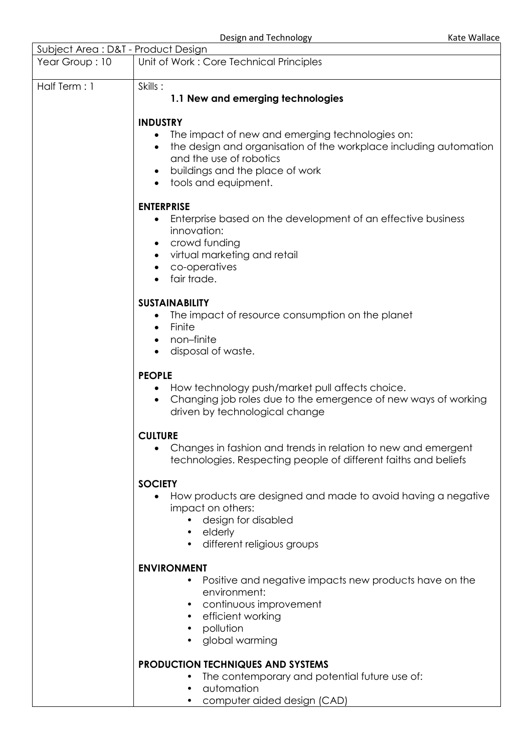Design and Technology Kate Wallace

| <b>DESIBLE QUALITY LIGHTIONS</b><br><b>NALE VVAIIALE</b>                      |                                                                                                                                                                                                                                      |  |  |
|-------------------------------------------------------------------------------|--------------------------------------------------------------------------------------------------------------------------------------------------------------------------------------------------------------------------------------|--|--|
| Subject Area: D&T - Product Design<br>Unit of Work: Core Technical Principles |                                                                                                                                                                                                                                      |  |  |
| Year Group: 10                                                                |                                                                                                                                                                                                                                      |  |  |
| Half Term: 1                                                                  | Skills:<br>1.1 New and emerging technologies                                                                                                                                                                                         |  |  |
|                                                                               | <b>INDUSTRY</b>                                                                                                                                                                                                                      |  |  |
|                                                                               | The impact of new and emerging technologies on:<br>$\bullet$<br>the design and organisation of the workplace including automation<br>and the use of robotics<br>buildings and the place of work<br>$\bullet$<br>tools and equipment. |  |  |
|                                                                               | <b>ENTERPRISE</b>                                                                                                                                                                                                                    |  |  |
|                                                                               | Enterprise based on the development of an effective business<br>$\bullet$<br>innovation:<br>crowd funding<br>$\bullet$<br>virtual marketing and retail<br>$\bullet$<br>co-operatives<br>fair trade.                                  |  |  |
|                                                                               | <b>SUSTAINABILITY</b>                                                                                                                                                                                                                |  |  |
|                                                                               | The impact of resource consumption on the planet<br>$\bullet$<br>Finite<br>$\bullet$<br>non-finite<br>٠<br>disposal of waste.                                                                                                        |  |  |
|                                                                               | <b>PEOPLE</b><br>How technology push/market pull affects choice.<br>Changing job roles due to the emergence of new ways of working<br>driven by technological change                                                                 |  |  |
|                                                                               | <b>CULTURE</b><br>Changes in fashion and trends in relation to new and emergent<br>technologies. Respecting people of different faiths and beliefs                                                                                   |  |  |
|                                                                               | <b>SOCIETY</b>                                                                                                                                                                                                                       |  |  |
|                                                                               | How products are designed and made to avoid having a negative<br>impact on others:<br>design for disabled<br>elderly<br>different religious groups                                                                                   |  |  |
|                                                                               | <b>ENVIRONMENT</b>                                                                                                                                                                                                                   |  |  |
|                                                                               | Positive and negative impacts new products have on the<br>environment:<br>continuous improvement<br>efficient working<br>pollution<br>global warming                                                                                 |  |  |
|                                                                               | <b>PRODUCTION TECHNIQUES AND SYSTEMS</b><br>The contemporary and potential future use of:<br>automation                                                                                                                              |  |  |

• computer aided design (CAD)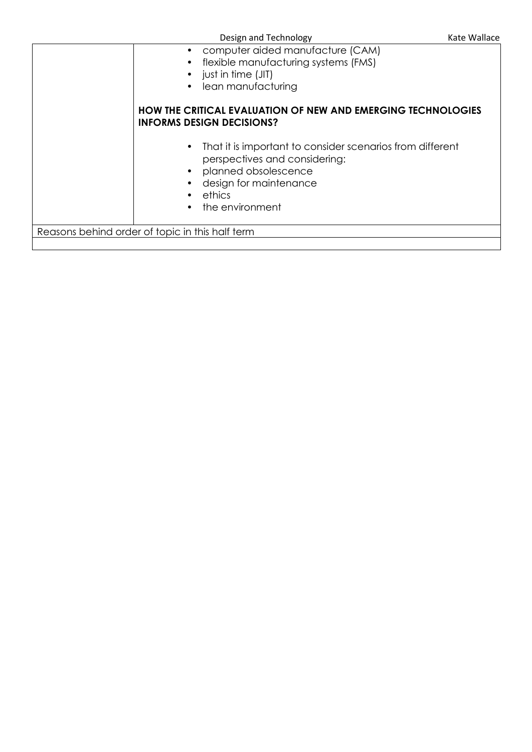|  | Design and Technology |
|--|-----------------------|
|--|-----------------------|

|                                                 | computer aided manufacture (CAM)<br>flexible manufacturing systems (FMS)<br>just in time (JIT)<br>lean manufacturing                                                      |  |
|-------------------------------------------------|---------------------------------------------------------------------------------------------------------------------------------------------------------------------------|--|
|                                                 | <b>HOW THE CRITICAL EVALUATION OF NEW AND EMERGING TECHNOLOGIES</b><br><b>INFORMS DESIGN DECISIONS?</b>                                                                   |  |
|                                                 | That it is important to consider scenarios from different<br>perspectives and considering:<br>planned obsolescence<br>design for maintenance<br>ethics<br>the environment |  |
| Reasons behind order of topic in this half term |                                                                                                                                                                           |  |
|                                                 |                                                                                                                                                                           |  |
|                                                 |                                                                                                                                                                           |  |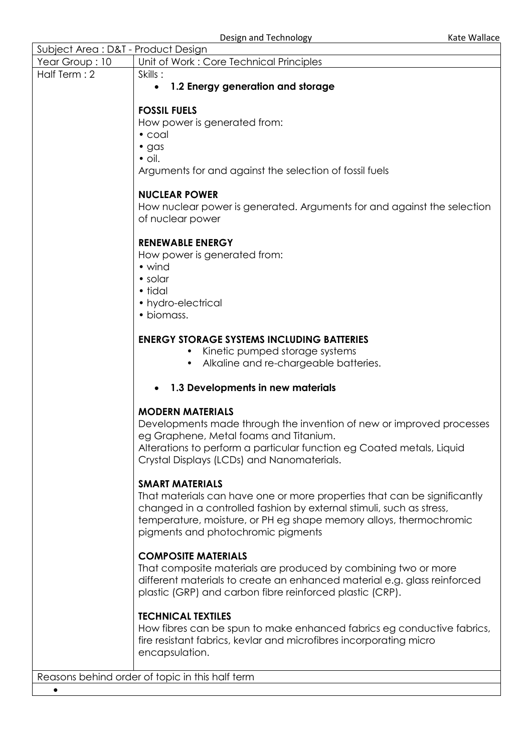| Subject Area: D&T - Product Design                                                      |                                                                          |                         |
|-----------------------------------------------------------------------------------------|--------------------------------------------------------------------------|-------------------------|
| Year Group: 10                                                                          | Unit of Work: Core Technical Principles                                  |                         |
| Half Term: 2                                                                            | Skills:                                                                  |                         |
|                                                                                         | 1.2 Energy generation and storage<br>$\bullet$                           |                         |
|                                                                                         |                                                                          |                         |
| <b>FOSSIL FUELS</b>                                                                     |                                                                          |                         |
|                                                                                         | How power is generated from:                                             |                         |
|                                                                                         | $\bullet$ coal                                                           |                         |
|                                                                                         | $\bullet$ gas                                                            |                         |
|                                                                                         | $\bullet$ oil.                                                           |                         |
|                                                                                         | Arguments for and against the selection of fossil fuels                  |                         |
|                                                                                         | <b>NUCLEAR POWER</b>                                                     |                         |
|                                                                                         | How nuclear power is generated. Arguments for and against the selection  |                         |
|                                                                                         | of nuclear power                                                         |                         |
|                                                                                         | <b>RENEWABLE ENERGY</b>                                                  |                         |
|                                                                                         | How power is generated from:                                             |                         |
|                                                                                         | • wind                                                                   |                         |
|                                                                                         | • solar                                                                  |                         |
|                                                                                         | • tidal                                                                  |                         |
|                                                                                         | • hydro-electrical                                                       |                         |
|                                                                                         | · biomass.                                                               |                         |
|                                                                                         |                                                                          |                         |
|                                                                                         | <b>ENERGY STORAGE SYSTEMS INCLUDING BATTERIES</b>                        |                         |
|                                                                                         | Kinetic pumped storage systems                                           |                         |
| Alkaline and re-chargeable batteries.<br>1.3 Developments in new materials<br>$\bullet$ |                                                                          |                         |
|                                                                                         |                                                                          | <b>MODERN MATERIALS</b> |
|                                                                                         | Developments made through the invention of new or improved processes     |                         |
|                                                                                         | eg Graphene, Metal foams and Titanium.                                   |                         |
|                                                                                         | Alterations to perform a particular function eg Coated metals, Liquid    |                         |
|                                                                                         | Crystal Displays (LCDs) and Nanomaterials.                               |                         |
|                                                                                         |                                                                          |                         |
|                                                                                         | <b>SMART MATERIALS</b>                                                   |                         |
|                                                                                         | That materials can have one or more properties that can be significantly |                         |
|                                                                                         | changed in a controlled fashion by external stimuli, such as stress,     |                         |
|                                                                                         | temperature, moisture, or PH eg shape memory alloys, thermochromic       |                         |
|                                                                                         | pigments and photochromic pigments                                       |                         |
| <b>COMPOSITE MATERIALS</b>                                                              |                                                                          |                         |
|                                                                                         | That composite materials are produced by combining two or more           |                         |
|                                                                                         | different materials to create an enhanced material e.g. glass reinforced |                         |
|                                                                                         | plastic (GRP) and carbon fibre reinforced plastic (CRP).                 |                         |
| <b>TECHNICAL TEXTILES</b>                                                               |                                                                          |                         |
|                                                                                         | How fibres can be spun to make enhanced fabrics eg conductive fabrics,   |                         |
|                                                                                         | fire resistant fabrics, kevlar and microfibres incorporating micro       |                         |
|                                                                                         | encapsulation.                                                           |                         |
|                                                                                         |                                                                          |                         |
| Reasons behind order of topic in this half term                                         |                                                                          |                         |

 $\bullet$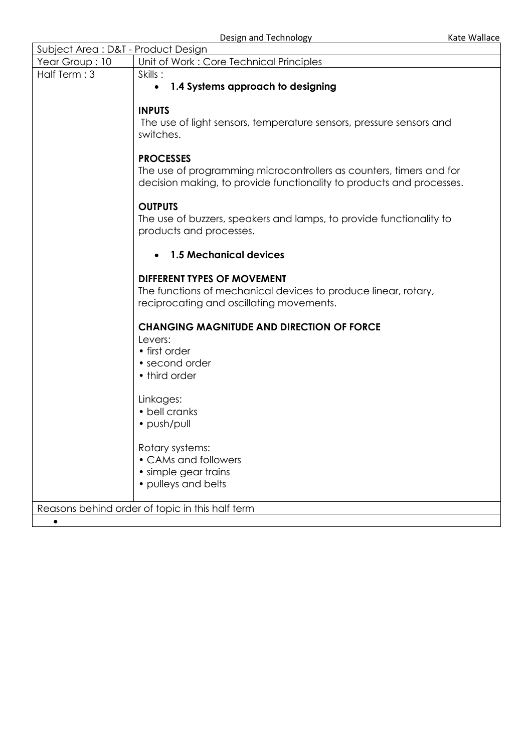| Subject Area: D&T - Product Design                                        |                                                                                  |  |
|---------------------------------------------------------------------------|----------------------------------------------------------------------------------|--|
| Unit of Work: Core Technical Principles<br>Year Group: 10                 |                                                                                  |  |
| Half Term: 3<br>Skills:<br>1.4 Systems approach to designing<br>$\bullet$ |                                                                                  |  |
|                                                                           |                                                                                  |  |
|                                                                           | <b>INPUTS</b>                                                                    |  |
|                                                                           | The use of light sensors, temperature sensors, pressure sensors and<br>switches. |  |
|                                                                           |                                                                                  |  |
|                                                                           | <b>PROCESSES</b>                                                                 |  |
|                                                                           | The use of programming microcontrollers as counters, timers and for              |  |
|                                                                           | decision making, to provide functionality to products and processes.             |  |
|                                                                           | <b>OUTPUTS</b>                                                                   |  |
|                                                                           | The use of buzzers, speakers and lamps, to provide functionality to              |  |
|                                                                           | products and processes.                                                          |  |
| <b>1.5 Mechanical devices</b>                                             |                                                                                  |  |
|                                                                           | <b>DIFFERENT TYPES OF MOVEMENT</b>                                               |  |
|                                                                           | The functions of mechanical devices to produce linear, rotary,                   |  |
|                                                                           | reciprocating and oscillating movements.                                         |  |
|                                                                           | <b>CHANGING MAGNITUDE AND DIRECTION OF FORCE</b>                                 |  |
|                                                                           | Levers:                                                                          |  |
|                                                                           | • first order                                                                    |  |
|                                                                           | • second order                                                                   |  |
|                                                                           | • third order                                                                    |  |
|                                                                           | Linkages:                                                                        |  |
|                                                                           | • bell cranks                                                                    |  |
|                                                                           | · push/pull                                                                      |  |
|                                                                           | Rotary systems:                                                                  |  |
|                                                                           | • CAMs and followers                                                             |  |
|                                                                           | • simple gear trains                                                             |  |
|                                                                           | • pulleys and belts                                                              |  |
|                                                                           |                                                                                  |  |
|                                                                           | Reasons behind order of topic in this half term                                  |  |
| $\bullet$                                                                 |                                                                                  |  |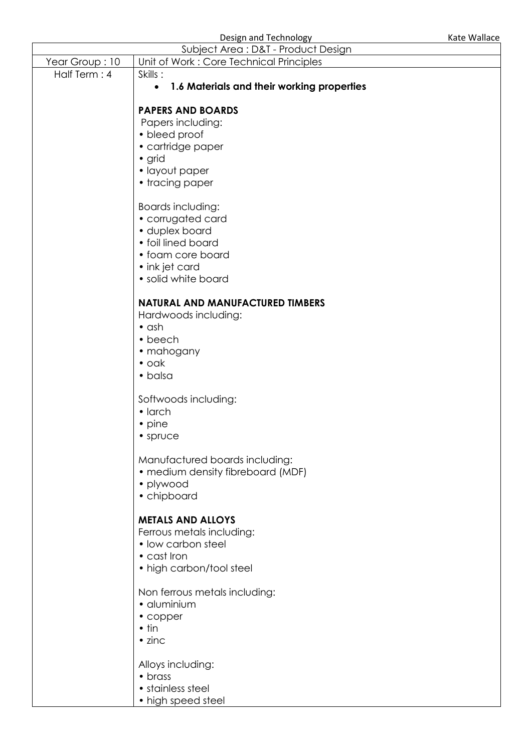Design and Technology **Kate Wallace** Kate Wallace

| Subject Area: D&T - Product Design |                                                         |  |  |
|------------------------------------|---------------------------------------------------------|--|--|
| Year Group: 10                     | Unit of Work: Core Technical Principles                 |  |  |
| Half Term: 4                       | Skills:                                                 |  |  |
|                                    | 1.6 Materials and their working properties<br>$\bullet$ |  |  |
|                                    |                                                         |  |  |
|                                    | <b>PAPERS AND BOARDS</b>                                |  |  |
|                                    | Papers including:                                       |  |  |
|                                    | • bleed proof                                           |  |  |
|                                    | • cartridge paper                                       |  |  |
|                                    | • grid<br>• layout paper                                |  |  |
|                                    | • tracing paper                                         |  |  |
|                                    |                                                         |  |  |
|                                    | Boards including:                                       |  |  |
|                                    | • corrugated card                                       |  |  |
|                                    | · duplex board                                          |  |  |
|                                    | • foil lined board                                      |  |  |
|                                    | • foam core board                                       |  |  |
|                                    | • ink jet card                                          |  |  |
|                                    | · solid white board                                     |  |  |
|                                    |                                                         |  |  |
|                                    | <b>NATURAL AND MANUFACTURED TIMBERS</b>                 |  |  |
|                                    | Hardwoods including:                                    |  |  |
|                                    | $\bullet$ ash                                           |  |  |
|                                    | • beech<br>• mahogany                                   |  |  |
|                                    | $\bullet$ oak                                           |  |  |
|                                    | • balsa                                                 |  |  |
|                                    |                                                         |  |  |
|                                    | Softwoods including:                                    |  |  |
|                                    | $\bullet$ larch                                         |  |  |
|                                    | • pine                                                  |  |  |
|                                    | • spruce                                                |  |  |
|                                    |                                                         |  |  |
|                                    | Manufactured boards including:                          |  |  |
|                                    | • medium density fibreboard (MDF)                       |  |  |
|                                    | • plywood                                               |  |  |
|                                    | • chipboard                                             |  |  |
|                                    | <b>METALS AND ALLOYS</b>                                |  |  |
|                                    | Ferrous metals including:                               |  |  |
|                                    | • low carbon steel                                      |  |  |
|                                    | • cast Iron                                             |  |  |
|                                    | • high carbon/tool steel                                |  |  |
|                                    |                                                         |  |  |
|                                    | Non ferrous metals including:                           |  |  |
|                                    | · aluminium                                             |  |  |
|                                    | • copper                                                |  |  |
|                                    | $\bullet$ tin                                           |  |  |
|                                    | $\bullet$ zinc                                          |  |  |
|                                    |                                                         |  |  |
|                                    | Alloys including:                                       |  |  |
|                                    | • brass<br>$\bullet$ stainless steel                    |  |  |

- stainless steel
- high speed steel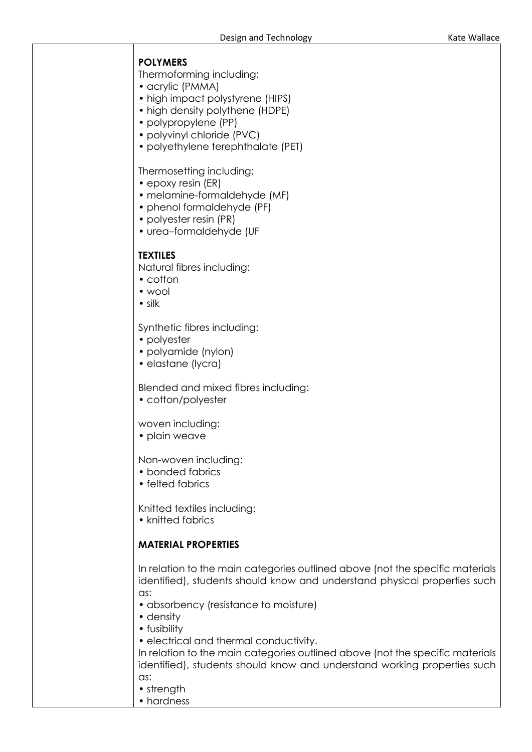# **POLYMERS**

Thermoforming including:

- acrylic (PMMA)
- high impact polystyrene (HIPS)
- high density polythene (HDPE)
- polypropylene (PP)
- polyvinyl chloride (PVC)
- polyethylene terephthalate (PET)

### Thermosetting including:

- epoxy resin (ER)
- melamine-formaldehyde (MF)
- phenol formaldehyde (PF)
- polyester resin (PR)
- urea–formaldehyde (UF

# **TEXTILES**

Natural fibres including:

- cotton
- wool
- silk

#### Synthetic fibres including:

- polyester
- polyamide (nylon)
- elastane (lycra)

Blended and mixed fibres including:

• cotton/polyester

#### woven including:

• plain weave

Non-woven including:

- bonded fabrics
- felted fabrics

Knitted textiles including:

• knitted fabrics

# **MATERIAL PROPERTIES**

In relation to the main categories outlined above (not the specific materials identified), students should know and understand physical properties such as:

- absorbency (resistance to moisture)
- density
- fusibility
- electrical and thermal conductivity.

In relation to the main categories outlined above (not the specific materials identified), students should know and understand working properties such as:

- strength
- hardness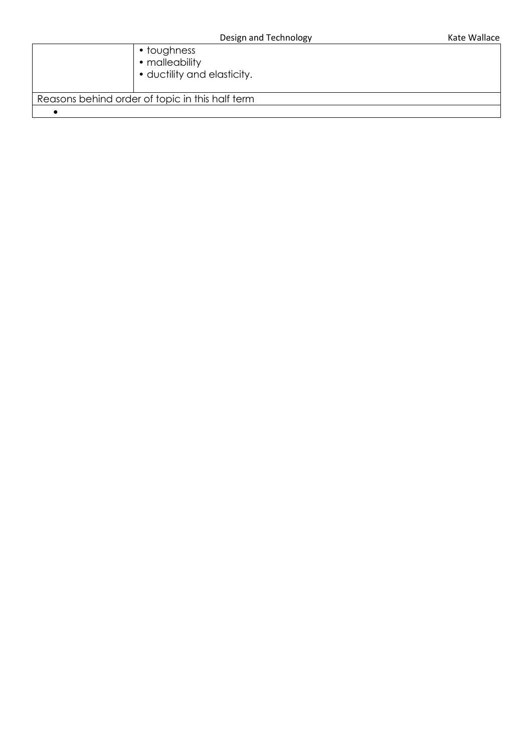|                                                 | $\bullet$ toughness<br>• malleability<br>• ductility and elasticity. |  |
|-------------------------------------------------|----------------------------------------------------------------------|--|
| Reasons behind order of topic in this half term |                                                                      |  |
|                                                 |                                                                      |  |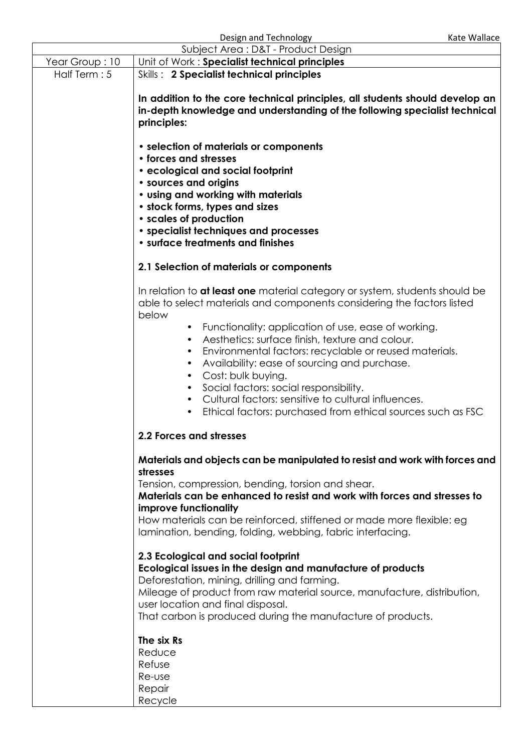|                                                                             | Design and Technology                                                                                                                                                                                                                                                                                                                                                                                                                                                                                                                                                                                                                                                                          | Kate Wallace |  |
|-----------------------------------------------------------------------------|------------------------------------------------------------------------------------------------------------------------------------------------------------------------------------------------------------------------------------------------------------------------------------------------------------------------------------------------------------------------------------------------------------------------------------------------------------------------------------------------------------------------------------------------------------------------------------------------------------------------------------------------------------------------------------------------|--------------|--|
| Subject Area: D&T - Product Design                                          |                                                                                                                                                                                                                                                                                                                                                                                                                                                                                                                                                                                                                                                                                                |              |  |
| Year Group: 10                                                              | Unit of Work: Specialist technical principles                                                                                                                                                                                                                                                                                                                                                                                                                                                                                                                                                                                                                                                  |              |  |
| Half Term: 5                                                                | Skills: 2 Specialist technical principles<br>In addition to the core technical principles, all students should develop an<br>in-depth knowledge and understanding of the following specialist technical<br>principles:                                                                                                                                                                                                                                                                                                                                                                                                                                                                         |              |  |
|                                                                             | • selection of materials or components<br>• forces and stresses<br>• ecological and social footprint<br>• sources and origins<br>• using and working with materials<br>• stock forms, types and sizes<br>• scales of production<br>• specialist techniques and processes<br>• surface treatments and finishes                                                                                                                                                                                                                                                                                                                                                                                  |              |  |
|                                                                             | 2.1 Selection of materials or components                                                                                                                                                                                                                                                                                                                                                                                                                                                                                                                                                                                                                                                       |              |  |
|                                                                             | In relation to at least one material category or system, students should be<br>able to select materials and components considering the factors listed<br>below<br>Functionality: application of use, ease of working.<br>$\bullet$<br>Aesthetics: surface finish, texture and colour.<br>$\bullet$<br>Environmental factors: recyclable or reused materials.<br>$\bullet$<br>Availability: ease of sourcing and purchase.<br>$\bullet$<br>Cost: bulk buying.<br>$\bullet$<br>Social factors: social responsibility.<br>$\bullet$<br>Cultural factors: sensitive to cultural influences.<br>Ethical factors: purchased from ethical sources such as FSC<br>$\bullet$<br>2.2 Forces and stresses |              |  |
| Materials and objects can be manipulated to resist and work with forces and |                                                                                                                                                                                                                                                                                                                                                                                                                                                                                                                                                                                                                                                                                                |              |  |
|                                                                             | stresses<br>Tension, compression, bending, torsion and shear.<br>Materials can be enhanced to resist and work with forces and stresses to<br>improve functionality<br>How materials can be reinforced, stiffened or made more flexible: eg<br>lamination, bending, folding, webbing, fabric interfacing.                                                                                                                                                                                                                                                                                                                                                                                       |              |  |
|                                                                             | 2.3 Ecological and social footprint<br>Ecological issues in the design and manufacture of products<br>Deforestation, mining, drilling and farming.<br>Mileage of product from raw material source, manufacture, distribution,<br>user location and final disposal.<br>That carbon is produced during the manufacture of products.<br>The six Rs<br>Reduce<br>Refuse<br>Re-use<br>Repair                                                                                                                                                                                                                                                                                                        |              |  |
|                                                                             | Recycle                                                                                                                                                                                                                                                                                                                                                                                                                                                                                                                                                                                                                                                                                        |              |  |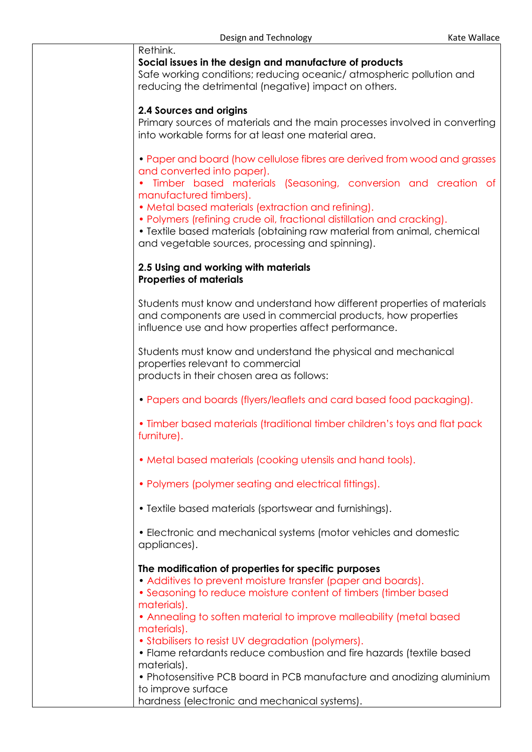| Rethink.<br>Social issues in the design and manufacture of products<br>Safe working conditions; reducing oceanic/ atmospheric pollution and<br>reducing the detrimental (negative) impact on others.                                                                                                                                                                                                                                                                                                                                                                                      |
|-------------------------------------------------------------------------------------------------------------------------------------------------------------------------------------------------------------------------------------------------------------------------------------------------------------------------------------------------------------------------------------------------------------------------------------------------------------------------------------------------------------------------------------------------------------------------------------------|
| <b>2.4 Sources and origins</b><br>Primary sources of materials and the main processes involved in converting<br>into workable forms for at least one material area.                                                                                                                                                                                                                                                                                                                                                                                                                       |
| • Paper and board (how cellulose fibres are derived from wood and grasses<br>and converted into paper).<br>Timber based materials (Seasoning, conversion and creation of<br>manufactured timbers).<br>• Metal based materials (extraction and refining).<br>• Polymers (refining crude oil, fractional distillation and cracking).<br>• Textile based materials (obtaining raw material from animal, chemical<br>and vegetable sources, processing and spinning).                                                                                                                         |
| 2.5 Using and working with materials<br><b>Properties of materials</b>                                                                                                                                                                                                                                                                                                                                                                                                                                                                                                                    |
| Students must know and understand how different properties of materials<br>and components are used in commercial products, how properties<br>influence use and how properties affect performance.                                                                                                                                                                                                                                                                                                                                                                                         |
| Students must know and understand the physical and mechanical<br>properties relevant to commercial<br>products in their chosen area as follows:                                                                                                                                                                                                                                                                                                                                                                                                                                           |
| • Papers and boards (flyers/leaflets and card based food packaging).                                                                                                                                                                                                                                                                                                                                                                                                                                                                                                                      |
| • Timber based materials (traditional timber children's toys and flat pack<br>furniture).                                                                                                                                                                                                                                                                                                                                                                                                                                                                                                 |
| • Metal based materials (cooking utensils and hand tools).                                                                                                                                                                                                                                                                                                                                                                                                                                                                                                                                |
| • Polymers (polymer seating and electrical fittings).                                                                                                                                                                                                                                                                                                                                                                                                                                                                                                                                     |
| • Textile based materials (sportswear and furnishings).                                                                                                                                                                                                                                                                                                                                                                                                                                                                                                                                   |
| • Electronic and mechanical systems (motor vehicles and domestic<br>appliances).                                                                                                                                                                                                                                                                                                                                                                                                                                                                                                          |
| The modification of properties for specific purposes<br>• Additives to prevent moisture transfer (paper and boards).<br>• Seasoning to reduce moisture content of timbers (timber based<br>materials).<br>• Annealing to soften material to improve malleability (metal based<br>materials).<br>• Stabilisers to resist UV degradation (polymers).<br>• Flame retardants reduce combustion and fire hazards (textile based<br>materials).<br>• Photosensitive PCB board in PCB manufacture and anodizing aluminium<br>to improve surface<br>hardness (electronic and mechanical systems). |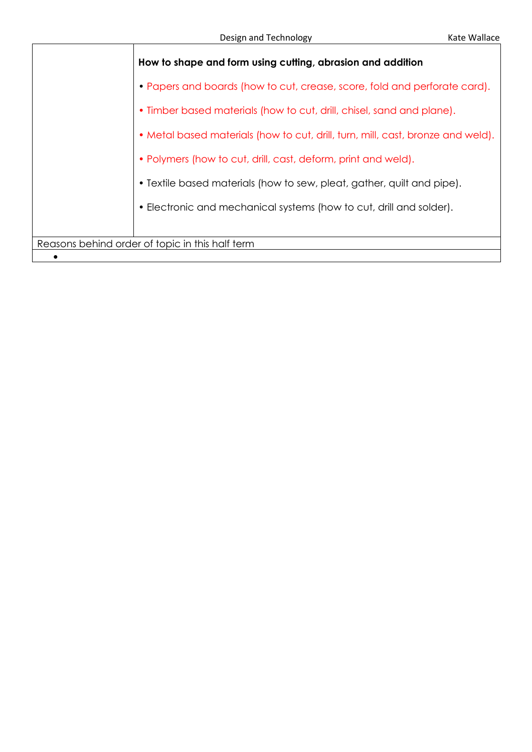|                                                               | How to shape and form using cutting, abrasion and addition                      |  |
|---------------------------------------------------------------|---------------------------------------------------------------------------------|--|
|                                                               | • Papers and boards (how to cut, crease, score, fold and perforate card).       |  |
|                                                               | • Timber based materials (how to cut, drill, chisel, sand and plane).           |  |
|                                                               | • Metal based materials (how to cut, drill, turn, mill, cast, bronze and weld). |  |
| • Polymers (how to cut, drill, cast, deform, print and weld). |                                                                                 |  |
|                                                               | • Textile based materials (how to sew, pleat, gather, quilt and pipe).          |  |
|                                                               | • Electronic and mechanical systems (how to cut, drill and solder).             |  |
|                                                               |                                                                                 |  |
| Reasons behind order of topic in this half term               |                                                                                 |  |
|                                                               |                                                                                 |  |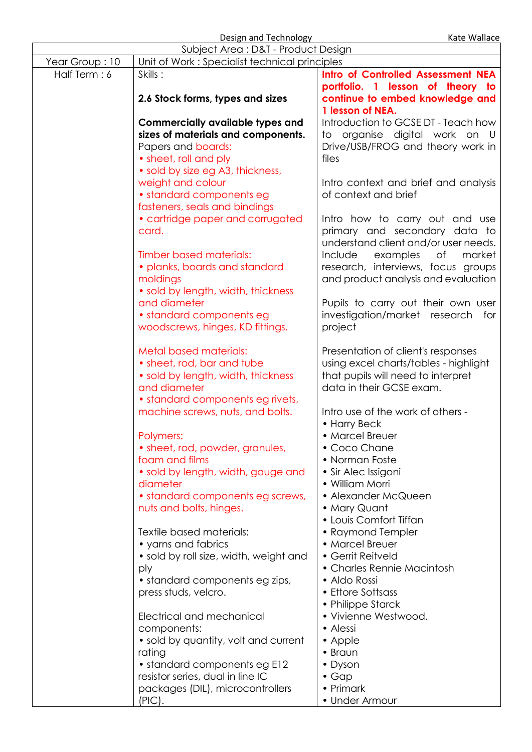Design and Technology **Kate Wallace** Besign and Technology **Kate Wallace** 

| Subject Area: D&T - Product Design |                                               |                                       |
|------------------------------------|-----------------------------------------------|---------------------------------------|
| Year Group: 10                     | Unit of Work: Specialist technical principles |                                       |
| Half Term: 6                       | Skills:                                       | Intro of Controlled Assessment NEA    |
|                                    |                                               | portfolio. 1 lesson of theory to      |
|                                    | 2.6 Stock forms, types and sizes              | continue to embed knowledge and       |
|                                    |                                               | 1 lesson of NEA.                      |
|                                    | Commercially available types and              | Introduction to GCSE DT - Teach how   |
|                                    | sizes of materials and components.            | organise digital work on U<br>to      |
|                                    | Papers and boards:                            | Drive/USB/FROG and theory work in     |
|                                    | • sheet, roll and ply                         | files                                 |
|                                    | • sold by size eg A3, thickness,              |                                       |
|                                    | weight and colour                             | Intro context and brief and analysis  |
|                                    | • standard components eg                      | of context and brief                  |
|                                    | fasteners, seals and bindings                 |                                       |
|                                    | • cartridge paper and corrugated              | Intro how to carry out and use        |
|                                    | card.                                         | primary and secondary data to         |
|                                    |                                               | understand client and/or user needs.  |
|                                    | Timber based materials:                       | Include<br>оf<br>market<br>examples   |
|                                    | · planks, boards and standard                 | research, interviews, focus groups    |
|                                    | moldings                                      | and product analysis and evaluation   |
|                                    | • sold by length, width, thickness            |                                       |
|                                    | and diameter                                  | Pupils to carry out their own user    |
|                                    | • standard components eg                      | investigation/market research<br>for  |
|                                    | woodscrews, hinges, KD fittings.              | project                               |
|                                    | <b>Metal based materials:</b>                 | Presentation of client's responses    |
|                                    | • sheet, rod, bar and tube                    | using excel charts/tables - highlight |
|                                    | • sold by length, width, thickness            | that pupils will need to interpret    |
|                                    | and diameter                                  | data in their GCSE exam.              |
|                                    | • standard components eg rivets,              |                                       |
|                                    | machine screws, nuts, and bolts.              | Intro use of the work of others -     |
|                                    |                                               | • Harry Beck<br>• Marcel Breuer       |
|                                    | Polymers:<br>• sheet, rod, powder, granules,  | $\bullet$ Coco Chane                  |
|                                    | foam and films                                | • Norman Foste                        |
|                                    | • sold by length, width, gauge and            | • Sir Alec Issigoni                   |
|                                    | diameter                                      | • William Morri                       |
|                                    | • standard components eg screws,              | • Alexander McQueen                   |
|                                    | nuts and bolts, hinges.                       | • Mary Quant                          |
|                                    |                                               | • Louis Comfort Tiffan                |
|                                    | Textile based materials:                      | • Raymond Templer                     |
|                                    | • yarns and fabrics                           | • Marcel Breuer                       |
|                                    | • sold by roll size, width, weight and        | • Gerrit Reitveld                     |
|                                    | ply                                           | • Charles Rennie Macintosh            |
|                                    | • standard components eg zips,                | • Aldo Rossi                          |
|                                    | press studs, velcro.                          | • Ettore Sottsass                     |
|                                    |                                               | • Philippe Starck                     |
|                                    | Electrical and mechanical                     | • Vivienne Westwood.                  |
|                                    | components:                                   | • Alessi                              |
|                                    | • sold by quantity, volt and current          | • Apple                               |
|                                    | rating                                        | • Braun                               |
|                                    | • standard components eg E12                  | • Dyson                               |
|                                    | resistor series, dual in line IC              | $\bullet$ Gap                         |
|                                    | packages (DIL), microcontrollers              | • Primark                             |
|                                    | (PIC).                                        | • Under Armour                        |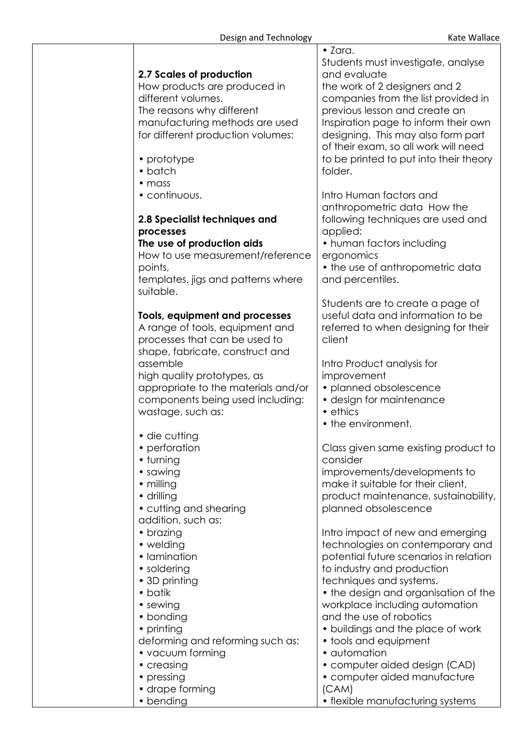| 2.7 Scales of production<br>How products are produced in<br>different volumes.<br>The reasons why different<br>manufacturing methods are used<br>for different production volumes:<br>• prototype<br>• batch                                                                     | $\bullet$ Zara.<br>Students must investigate, analyse<br>and evaluate<br>the work of 2 designers and 2<br>companies from the list provided in<br>previous lesson and create an<br>Inspiration page to inform their own<br>designing. This may also form part<br>of their exam, so all work will need<br>to be printed to put into their theory<br>folder.                                                                   |
|----------------------------------------------------------------------------------------------------------------------------------------------------------------------------------------------------------------------------------------------------------------------------------|-----------------------------------------------------------------------------------------------------------------------------------------------------------------------------------------------------------------------------------------------------------------------------------------------------------------------------------------------------------------------------------------------------------------------------|
| $\bullet$ mass<br>• continuous.<br>2.8 Specialist techniques and<br>processes<br>The use of production aids<br>How to use measurement/reference<br>points,<br>templates, jigs and patterns where<br>suitable.                                                                    | Intro Human factors and<br>anthropometric data How the<br>following techniques are used and<br>applied:<br>• human factors including<br>ergonomics<br>• the use of anthropometric data<br>and percentiles.                                                                                                                                                                                                                  |
| Tools, equipment and processes<br>A range of tools, equipment and<br>processes that can be used to<br>shape, fabricate, construct and<br>assemble<br>high quality prototypes, as<br>appropriate to the materials and/or<br>components being used including:<br>wastage, such as: | Students are to create a page of<br>useful data and information to be<br>referred to when designing for their<br>client<br>Intro Product analysis for<br>improvement<br>· planned obsolescence<br>• design for maintenance<br>• ethics<br>• the environment.                                                                                                                                                                |
| • die cutting<br>• perforation<br>• turning<br>• sawing<br>• milling<br>· drilling<br>• cutting and shearing<br>addition, such as:                                                                                                                                               | Class given same existing product to<br>consider<br>improvements/developments to<br>make it suitable for their client,<br>product maintenance, sustainability,<br>planned obsolescence                                                                                                                                                                                                                                      |
| • brazing<br>• welding<br>• Iamination<br>• soldering<br>• 3D printing<br>• batik<br>• sewing<br>• bonding<br>• printing<br>deforming and reforming such as:<br>• vacuum forming<br>• creasing<br>• pressing                                                                     | Intro impact of new and emerging<br>technologies on contemporary and<br>potential future scenarios in relation<br>to industry and production<br>techniques and systems.<br>• the design and organisation of the<br>workplace including automation<br>and the use of robotics<br>• buildings and the place of work<br>• tools and equipment<br>• automation<br>• computer aided design (CAD)<br>· computer aided manufacture |
| • drape forming<br>• bending                                                                                                                                                                                                                                                     | (CAM)<br>• flexible manufacturing systems                                                                                                                                                                                                                                                                                                                                                                                   |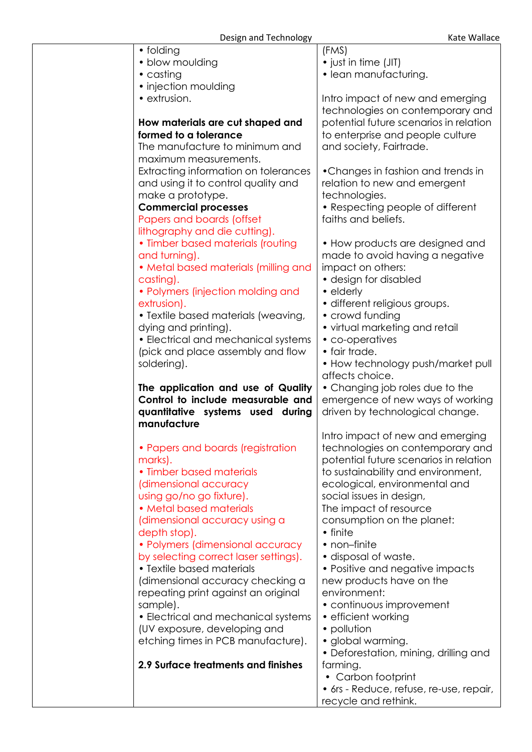| • folding                             | (FMS)                                                |
|---------------------------------------|------------------------------------------------------|
| • blow moulding                       | • just in time (JIT)                                 |
| • casting                             | • lean manufacturing.                                |
| • injection moulding                  |                                                      |
| • extrusion.                          | Intro impact of new and emerging                     |
|                                       | technologies on contemporary and                     |
| How materials are cut shaped and      | potential future scenarios in relation               |
| formed to a tolerance                 | to enterprise and people culture                     |
| The manufacture to minimum and        | and society, Fairtrade.                              |
| maximum measurements.                 |                                                      |
| Extracting information on tolerances  | • Changes in fashion and trends in                   |
| and using it to control quality and   | relation to new and emergent                         |
| make a prototype.                     | technologies.                                        |
| <b>Commercial processes</b>           | • Respecting people of different                     |
| Papers and boards (offset             | faiths and beliefs.                                  |
| lithography and die cutting).         |                                                      |
| • Timber based materials (routing     | • How products are designed and                      |
| and turning).                         | made to avoid having a negative                      |
| • Metal based materials (milling and  | impact on others:                                    |
| casting).                             | • design for disabled                                |
| • Polymers (injection molding and     | • elderly                                            |
| extrusion).                           | · different religious groups.                        |
| • Textile based materials (weaving,   | • crowd funding                                      |
| dying and printing).                  | • virtual marketing and retail                       |
| • Electrical and mechanical systems   | • co-operatives                                      |
| (pick and place assembly and flow     | • fair trade.                                        |
| soldering).                           | • How technology push/market pull<br>affects choice. |
| The application and use of Quality    | • Changing job roles due to the                      |
| Control to include measurable and     | emergence of new ways of working                     |
| quantitative systems used during      | driven by technological change.                      |
| manufacture                           |                                                      |
|                                       | Intro impact of new and emerging                     |
| • Papers and boards (registration     | technologies on contemporary and                     |
| marks).                               | potential future scenarios in relation               |
| • Timber based materials              | to sustainability and environment,                   |
| (dimensional accuracy                 | ecological, environmental and                        |
| using go/no go fixture).              | social issues in design,                             |
| • Metal based materials               | The impact of resource                               |
| (dimensional accuracy using a         | consumption on the planet:                           |
| depth stop).                          | • finite                                             |
| • Polymers (dimensional accuracy      | • non-finite                                         |
| by selecting correct laser settings). | • disposal of waste.                                 |
| • Textile based materials             | • Positive and negative impacts                      |
| (dimensional accuracy checking a      | new products have on the                             |
| repeating print against an original   | environment:                                         |
| sample).                              | • continuous improvement                             |
| • Electrical and mechanical systems   | • efficient working                                  |
| (UV exposure, developing and          | • pollution                                          |
| etching times in PCB manufacture).    | • global warming.                                    |
| 2.9 Surface treatments and finishes   | • Deforestation, mining, drilling and                |
|                                       | farming.<br>• Carbon footprint                       |
|                                       | • 6rs - Reduce, refuse, re-use, repair,              |
|                                       | recycle and rethink.                                 |
|                                       |                                                      |